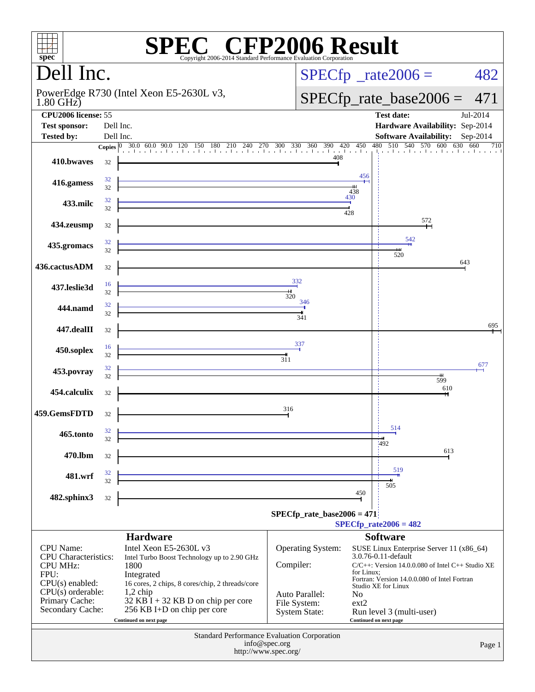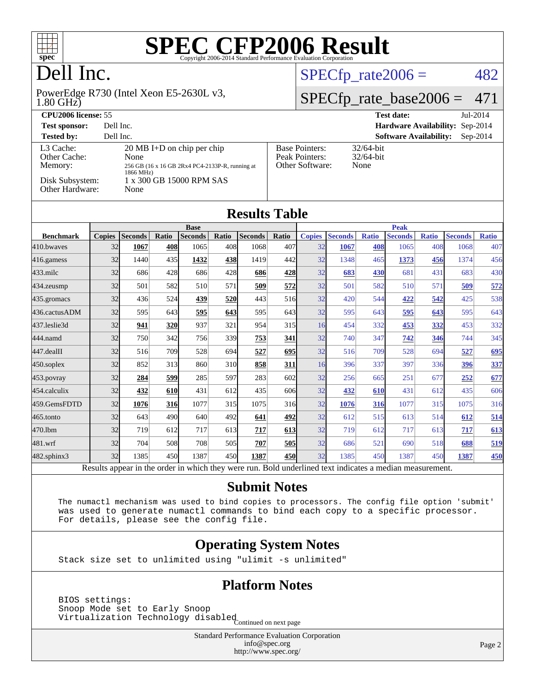

### Dell Inc.

1.80 GHz) PowerEdge R730 (Intel Xeon E5-2630L v3,

#### $SPECTp_rate2006 = 482$

#### [SPECfp\\_rate\\_base2006 =](http://www.spec.org/auto/cpu2006/Docs/result-fields.html#SPECfpratebase2006) 471

| CPU <sub>2006</sub> license: 55                                            |                                                                                                                                                  |                                                            | $Jul-2014$<br><b>Test date:</b>             |
|----------------------------------------------------------------------------|--------------------------------------------------------------------------------------------------------------------------------------------------|------------------------------------------------------------|---------------------------------------------|
| <b>Test sponsor:</b>                                                       | Dell Inc.                                                                                                                                        |                                                            | Hardware Availability: Sep-2014             |
| <b>Tested by:</b>                                                          | Dell Inc.                                                                                                                                        |                                                            | <b>Software Availability:</b><br>$Sep-2014$ |
| L3 Cache:<br>Other Cache:<br>Memory:<br>Disk Subsystem:<br>Other Hardware: | $20 \text{ MB I+D}$ on chip per chip<br>None<br>256 GB (16 x 16 GB 2Rx4 PC4-2133P-R, running at<br>1866 MHz)<br>1 x 300 GB 15000 RPM SAS<br>None | <b>Base Pointers:</b><br>Peak Pointers:<br>Other Software: | $32/64$ -bit<br>$32/64$ -bit<br>None        |

| <b>Results Table</b> |               |                |              |                |       |                |             |                        |                |              |                |              |                |              |
|----------------------|---------------|----------------|--------------|----------------|-------|----------------|-------------|------------------------|----------------|--------------|----------------|--------------|----------------|--------------|
|                      | <b>Base</b>   |                |              |                |       |                | <b>Peak</b> |                        |                |              |                |              |                |              |
| <b>Benchmark</b>     | <b>Copies</b> | <b>Seconds</b> | Ratio        | <b>Seconds</b> | Ratio | <b>Seconds</b> | Ratio       | <b>Copies</b>          | <b>Seconds</b> | <b>Ratio</b> | <b>Seconds</b> | <b>Ratio</b> | <b>Seconds</b> | <b>Ratio</b> |
| 410.bwayes           | 32            | 1067           | 408          | 1065           | 408   | 1068           | 407         | 32                     | 1067           | 408          | 1065           | 408          | 1068           | 407          |
| 416.gamess           | 32            | 1440           | 435          | 1432           | 438   | 1419           | 442         | 32                     | 1348           | 465          | 1373           | 456          | 1374           | 456          |
| $433$ .milc          | 32            | 686            | 428          | 686            | 428   | 686            | 428         | 32                     | 683            | <b>430</b>   | 681            | 431          | 683            | 430          |
| 434.zeusmp           | 32            | 501            | 582          | 510            | 571   | 509            | 572         | 32                     | 501            | 582          | 510            | 571          | 509            | 572          |
| 435.gromacs          | 32            | 436            | 524          | 439            | 520   | 443            | 516         | 32                     | 420            | 544          | 422            | 542          | 425            | 538          |
| 436.cactusADM        | 32            | 595            | 643          | 595            | 643   | 595            | 643         | 32                     | 595            | 643          | 595            | 643          | 595            | 643          |
| 437.leslie3d         | 32            | 941            | 320          | 937            | 321   | 954            | 315         | 16                     | 454            | 332          | 453            | 332          | 453            | 332          |
| 444.namd             | 32            | 750            | 342          | 756            | 339l  | 753            | 341         | 32                     | 740            | 347          | 742            | 346          | 744            | 345          |
| 447.dealII           | 32            | 516            | 709          | 528            | 694   | 527            | 695         | 32                     | 516            | 709          | 528            | 694          | 527            | 695          |
| $450$ .soplex        | 32            | 852            | 313          | 860            | 310   | 858            | 311         | 16                     | 396            | 337          | 397            | 336          | 396            | 337          |
| $453$ .povray        | 32            | 284            | 599          | 285            | 597   | 283            | 602         | 32                     | 256            | 665          | 251            | 677          | 252            | 677          |
| $454$ calculix       | 32            | 432            | 610          | 431            | 612   | 435            | 606         | 32                     | 432            | 610          | 431            | 612          | 435            | 606          |
| 459.GemsFDTD         | 32            | 1076           | 316          | 1077           | 315   | 1075           | 316         | 32                     | 1076           | 316          | 1077           | 315          | 1075           | 316          |
| 465.tonto            | 32            | 643            | 490          | 640            | 492   | 641            | 492         | 32                     | 612            | 515          | 613            | 514          | 612            | <u>514</u>   |
| 470.1bm              | 32            | 719            | 612          | 717            | 613   | 717            | 613         | 32                     | 719            | 612          | 717            | 613          | 717            | 613          |
| 481.wrf              | 32            | 704            | 508          | 708            | 505   | 707            | 505         | 32                     | 686            | 521          | 690            | 518          | 688            | 519          |
| 482.sphinx3          | 32            | 1385           | 450          | 1387           | 450l  | 1387           | 450         | 32                     | 1385           | 450          | 1387           | 450          | 1387           | 450          |
| <sub>n</sub>         |               | t <b>1.</b>    | $\mathbf{1}$ | 1, 2, 1, 1, 1  |       |                | D.11        | $-1$ $-1$ $-1$<br>11.1 |                |              | $1^{\circ}$    |              |                |              |

Results appear in the [order in which they were run.](http://www.spec.org/auto/cpu2006/Docs/result-fields.html#RunOrder) Bold underlined text [indicates a median measurement.](http://www.spec.org/auto/cpu2006/Docs/result-fields.html#Median)

#### **[Submit Notes](http://www.spec.org/auto/cpu2006/Docs/result-fields.html#SubmitNotes)**

 The numactl mechanism was used to bind copies to processors. The config file option 'submit' was used to generate numactl commands to bind each copy to a specific processor. For details, please see the config file.

#### **[Operating System Notes](http://www.spec.org/auto/cpu2006/Docs/result-fields.html#OperatingSystemNotes)**

Stack size set to unlimited using "ulimit -s unlimited"

#### **[Platform Notes](http://www.spec.org/auto/cpu2006/Docs/result-fields.html#PlatformNotes)**

 BIOS settings: Snoop Mode set to Early Snoop Shoop mode see to 1941, and isabled<br>Virtualization Technology disabled Continued on next page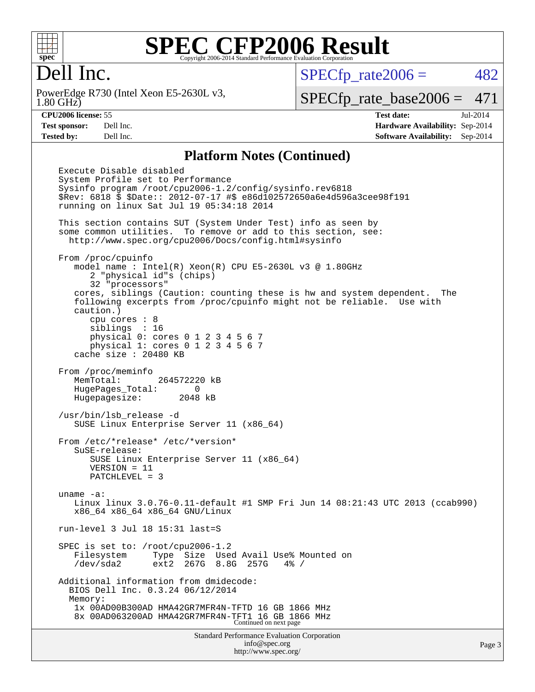

#### Dell Inc.

1.80 GHz) PowerEdge R730 (Intel Xeon E5-2630L v3,  $SPECTp_rate2006 = 482$ 

[SPECfp\\_rate\\_base2006 =](http://www.spec.org/auto/cpu2006/Docs/result-fields.html#SPECfpratebase2006) 471

**[CPU2006 license:](http://www.spec.org/auto/cpu2006/Docs/result-fields.html#CPU2006license)** 55 **[Test date:](http://www.spec.org/auto/cpu2006/Docs/result-fields.html#Testdate)** Jul-2014 **[Test sponsor:](http://www.spec.org/auto/cpu2006/Docs/result-fields.html#Testsponsor)** Dell Inc. **[Hardware Availability:](http://www.spec.org/auto/cpu2006/Docs/result-fields.html#HardwareAvailability)** Sep-2014 **[Tested by:](http://www.spec.org/auto/cpu2006/Docs/result-fields.html#Testedby)** Dell Inc. **[Software Availability:](http://www.spec.org/auto/cpu2006/Docs/result-fields.html#SoftwareAvailability)** Sep-2014

#### **[Platform Notes \(Continued\)](http://www.spec.org/auto/cpu2006/Docs/result-fields.html#PlatformNotes)**

Standard Performance Evaluation Corporation [info@spec.org](mailto:info@spec.org) Page 3 Execute Disable disabled System Profile set to Performance Sysinfo program /root/cpu2006-1.2/config/sysinfo.rev6818 \$Rev: 6818 \$ \$Date:: 2012-07-17 #\$ e86d102572650a6e4d596a3cee98f191 running on linux Sat Jul 19 05:34:18 2014 This section contains SUT (System Under Test) info as seen by some common utilities. To remove or add to this section, see: <http://www.spec.org/cpu2006/Docs/config.html#sysinfo> From /proc/cpuinfo model name : Intel(R)  $Xeon(R)$  CPU E5-2630L v3 @ 1.80GHz 2 "physical id"s (chips) 32 "processors" cores, siblings (Caution: counting these is hw and system dependent. The following excerpts from /proc/cpuinfo might not be reliable. Use with caution.) cpu cores : 8 siblings : 16 physical 0: cores 0 1 2 3 4 5 6 7 physical 1: cores 0 1 2 3 4 5 6 7 cache size : 20480 KB From /proc/meminfo MemTotal: 264572220 kB HugePages\_Total: 0 Hugepagesize: 2048 kB /usr/bin/lsb\_release -d SUSE Linux Enterprise Server 11 (x86\_64) From /etc/\*release\* /etc/\*version\* SuSE-release: SUSE Linux Enterprise Server 11 (x86\_64) VERSION = 11 PATCHLEVEL = 3 uname -a: Linux linux 3.0.76-0.11-default #1 SMP Fri Jun 14 08:21:43 UTC 2013 (ccab990) x86\_64 x86\_64 x86\_64 GNU/Linux run-level 3 Jul 18 15:31 last=S SPEC is set to: /root/cpu2006-1.2 Filesystem Type Size Used Avail Use% Mounted on /dev/sda2 ext2 267G 8.8G 257G 4% / Additional information from dmidecode: BIOS Dell Inc. 0.3.24 06/12/2014 Memory: 1x 00AD00B300AD HMA42GR7MFR4N-TFTD 16 GB 1866 MHz 8x 00AD063200AD HMA42GR7MFR4N-TFT1 16 GB 1866 MHz Continued on next page

<http://www.spec.org/>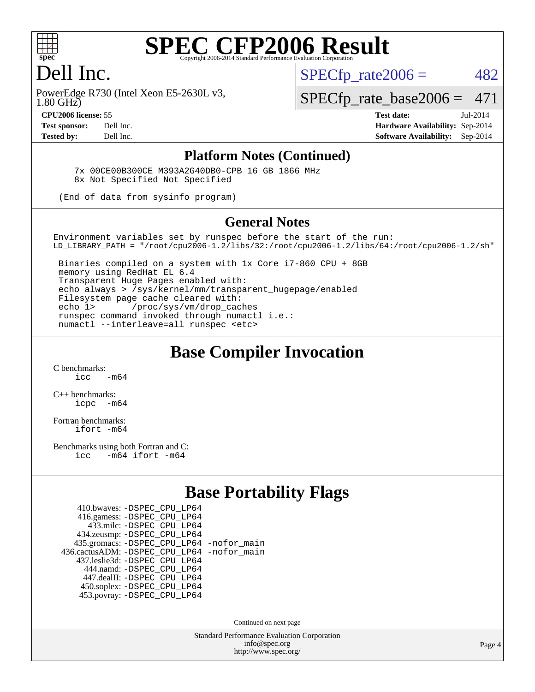

#### Dell Inc.

 $SPECTp\_rate2006 = 482$ 

1.80 GHz) PowerEdge R730 (Intel Xeon E5-2630L v3,

[SPECfp\\_rate\\_base2006 =](http://www.spec.org/auto/cpu2006/Docs/result-fields.html#SPECfpratebase2006) 471

**[CPU2006 license:](http://www.spec.org/auto/cpu2006/Docs/result-fields.html#CPU2006license)** 55 **[Test date:](http://www.spec.org/auto/cpu2006/Docs/result-fields.html#Testdate)** Jul-2014 **[Test sponsor:](http://www.spec.org/auto/cpu2006/Docs/result-fields.html#Testsponsor)** Dell Inc. **[Hardware Availability:](http://www.spec.org/auto/cpu2006/Docs/result-fields.html#HardwareAvailability)** Sep-2014 **[Tested by:](http://www.spec.org/auto/cpu2006/Docs/result-fields.html#Testedby)** Dell Inc. **[Software Availability:](http://www.spec.org/auto/cpu2006/Docs/result-fields.html#SoftwareAvailability)** Sep-2014

#### **[Platform Notes \(Continued\)](http://www.spec.org/auto/cpu2006/Docs/result-fields.html#PlatformNotes)**

 7x 00CE00B300CE M393A2G40DB0-CPB 16 GB 1866 MHz 8x Not Specified Not Specified

(End of data from sysinfo program)

#### **[General Notes](http://www.spec.org/auto/cpu2006/Docs/result-fields.html#GeneralNotes)**

Environment variables set by runspec before the start of the run: LD\_LIBRARY\_PATH = "/root/cpu2006-1.2/libs/32:/root/cpu2006-1.2/libs/64:/root/cpu2006-1.2/sh"

 Binaries compiled on a system with 1x Core i7-860 CPU + 8GB memory using RedHat EL 6.4 Transparent Huge Pages enabled with: echo always > /sys/kernel/mm/transparent\_hugepage/enabled Filesystem page cache cleared with: echo 1> /proc/sys/vm/drop\_caches runspec command invoked through numactl i.e.: numactl --interleave=all runspec <etc>

#### **[Base Compiler Invocation](http://www.spec.org/auto/cpu2006/Docs/result-fields.html#BaseCompilerInvocation)**

[C benchmarks](http://www.spec.org/auto/cpu2006/Docs/result-fields.html#Cbenchmarks):  $\frac{1}{2}$  cc  $-$  m64

[C++ benchmarks:](http://www.spec.org/auto/cpu2006/Docs/result-fields.html#CXXbenchmarks) [icpc -m64](http://www.spec.org/cpu2006/results/res2014q3/cpu2006-20140909-31280.flags.html#user_CXXbase_intel_icpc_64bit_bedb90c1146cab66620883ef4f41a67e)

[Fortran benchmarks](http://www.spec.org/auto/cpu2006/Docs/result-fields.html#Fortranbenchmarks): [ifort -m64](http://www.spec.org/cpu2006/results/res2014q3/cpu2006-20140909-31280.flags.html#user_FCbase_intel_ifort_64bit_ee9d0fb25645d0210d97eb0527dcc06e)

[Benchmarks using both Fortran and C](http://www.spec.org/auto/cpu2006/Docs/result-fields.html#BenchmarksusingbothFortranandC): [icc -m64](http://www.spec.org/cpu2006/results/res2014q3/cpu2006-20140909-31280.flags.html#user_CC_FCbase_intel_icc_64bit_0b7121f5ab7cfabee23d88897260401c) [ifort -m64](http://www.spec.org/cpu2006/results/res2014q3/cpu2006-20140909-31280.flags.html#user_CC_FCbase_intel_ifort_64bit_ee9d0fb25645d0210d97eb0527dcc06e)

#### **[Base Portability Flags](http://www.spec.org/auto/cpu2006/Docs/result-fields.html#BasePortabilityFlags)**

| 410.bwaves: - DSPEC CPU LP64                 |  |
|----------------------------------------------|--|
| 416.gamess: -DSPEC_CPU_LP64                  |  |
| 433.milc: -DSPEC CPU LP64                    |  |
| 434.zeusmp: -DSPEC_CPU_LP64                  |  |
| 435.gromacs: -DSPEC_CPU_LP64 -nofor_main     |  |
| 436.cactusADM: - DSPEC CPU LP64 - nofor main |  |
| 437.leslie3d: -DSPEC_CPU_LP64                |  |
| 444.namd: - DSPEC CPU LP64                   |  |
| 447.dealII: -DSPEC CPU LP64                  |  |
| 450.soplex: -DSPEC_CPU_LP64                  |  |
| 453.povray: -DSPEC CPU LP64                  |  |

Continued on next page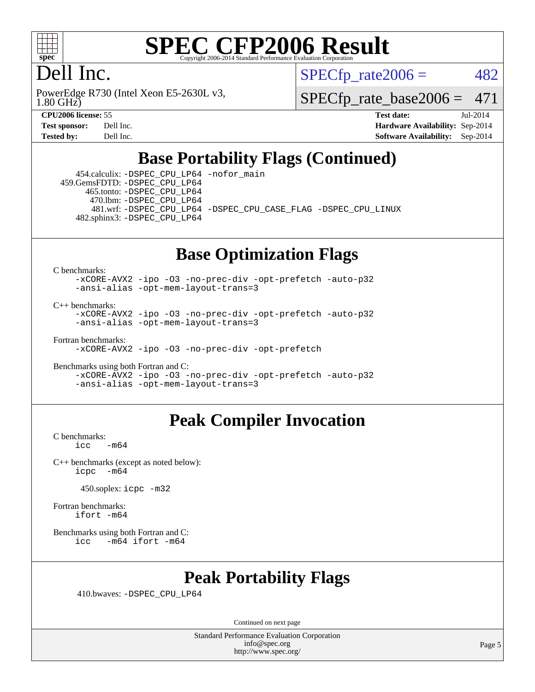

### Dell Inc.

1.80 GHz) PowerEdge R730 (Intel Xeon E5-2630L v3,  $SPECTp\_rate2006 = 482$ 

[SPECfp\\_rate\\_base2006 =](http://www.spec.org/auto/cpu2006/Docs/result-fields.html#SPECfpratebase2006) 471

**[CPU2006 license:](http://www.spec.org/auto/cpu2006/Docs/result-fields.html#CPU2006license)** 55 **[Test date:](http://www.spec.org/auto/cpu2006/Docs/result-fields.html#Testdate)** Jul-2014 **[Test sponsor:](http://www.spec.org/auto/cpu2006/Docs/result-fields.html#Testsponsor)** Dell Inc. **[Hardware Availability:](http://www.spec.org/auto/cpu2006/Docs/result-fields.html#HardwareAvailability)** Sep-2014 **[Tested by:](http://www.spec.org/auto/cpu2006/Docs/result-fields.html#Testedby)** Dell Inc. **[Software Availability:](http://www.spec.org/auto/cpu2006/Docs/result-fields.html#SoftwareAvailability)** Sep-2014

#### **[Base Portability Flags \(Continued\)](http://www.spec.org/auto/cpu2006/Docs/result-fields.html#BasePortabilityFlags)**

 454.calculix: [-DSPEC\\_CPU\\_LP64](http://www.spec.org/cpu2006/results/res2014q3/cpu2006-20140909-31280.flags.html#suite_basePORTABILITY454_calculix_DSPEC_CPU_LP64) [-nofor\\_main](http://www.spec.org/cpu2006/results/res2014q3/cpu2006-20140909-31280.flags.html#user_baseLDPORTABILITY454_calculix_f-nofor_main) 459.GemsFDTD: [-DSPEC\\_CPU\\_LP64](http://www.spec.org/cpu2006/results/res2014q3/cpu2006-20140909-31280.flags.html#suite_basePORTABILITY459_GemsFDTD_DSPEC_CPU_LP64) 465.tonto: [-DSPEC\\_CPU\\_LP64](http://www.spec.org/cpu2006/results/res2014q3/cpu2006-20140909-31280.flags.html#suite_basePORTABILITY465_tonto_DSPEC_CPU_LP64) 470.lbm: [-DSPEC\\_CPU\\_LP64](http://www.spec.org/cpu2006/results/res2014q3/cpu2006-20140909-31280.flags.html#suite_basePORTABILITY470_lbm_DSPEC_CPU_LP64) 481.wrf: [-DSPEC\\_CPU\\_LP64](http://www.spec.org/cpu2006/results/res2014q3/cpu2006-20140909-31280.flags.html#suite_basePORTABILITY481_wrf_DSPEC_CPU_LP64) [-DSPEC\\_CPU\\_CASE\\_FLAG](http://www.spec.org/cpu2006/results/res2014q3/cpu2006-20140909-31280.flags.html#b481.wrf_baseCPORTABILITY_DSPEC_CPU_CASE_FLAG) [-DSPEC\\_CPU\\_LINUX](http://www.spec.org/cpu2006/results/res2014q3/cpu2006-20140909-31280.flags.html#b481.wrf_baseCPORTABILITY_DSPEC_CPU_LINUX) 482.sphinx3: [-DSPEC\\_CPU\\_LP64](http://www.spec.org/cpu2006/results/res2014q3/cpu2006-20140909-31280.flags.html#suite_basePORTABILITY482_sphinx3_DSPEC_CPU_LP64)

#### **[Base Optimization Flags](http://www.spec.org/auto/cpu2006/Docs/result-fields.html#BaseOptimizationFlags)**

[C benchmarks](http://www.spec.org/auto/cpu2006/Docs/result-fields.html#Cbenchmarks):

[-xCORE-AVX2](http://www.spec.org/cpu2006/results/res2014q3/cpu2006-20140909-31280.flags.html#user_CCbase_f-xAVX2_5f5fc0cbe2c9f62c816d3e45806c70d7) [-ipo](http://www.spec.org/cpu2006/results/res2014q3/cpu2006-20140909-31280.flags.html#user_CCbase_f-ipo) [-O3](http://www.spec.org/cpu2006/results/res2014q3/cpu2006-20140909-31280.flags.html#user_CCbase_f-O3) [-no-prec-div](http://www.spec.org/cpu2006/results/res2014q3/cpu2006-20140909-31280.flags.html#user_CCbase_f-no-prec-div) [-opt-prefetch](http://www.spec.org/cpu2006/results/res2014q3/cpu2006-20140909-31280.flags.html#user_CCbase_f-opt-prefetch) [-auto-p32](http://www.spec.org/cpu2006/results/res2014q3/cpu2006-20140909-31280.flags.html#user_CCbase_f-auto-p32) [-ansi-alias](http://www.spec.org/cpu2006/results/res2014q3/cpu2006-20140909-31280.flags.html#user_CCbase_f-ansi-alias) [-opt-mem-layout-trans=3](http://www.spec.org/cpu2006/results/res2014q3/cpu2006-20140909-31280.flags.html#user_CCbase_f-opt-mem-layout-trans_a7b82ad4bd7abf52556d4961a2ae94d5)

[C++ benchmarks:](http://www.spec.org/auto/cpu2006/Docs/result-fields.html#CXXbenchmarks)

[-xCORE-AVX2](http://www.spec.org/cpu2006/results/res2014q3/cpu2006-20140909-31280.flags.html#user_CXXbase_f-xAVX2_5f5fc0cbe2c9f62c816d3e45806c70d7) [-ipo](http://www.spec.org/cpu2006/results/res2014q3/cpu2006-20140909-31280.flags.html#user_CXXbase_f-ipo) [-O3](http://www.spec.org/cpu2006/results/res2014q3/cpu2006-20140909-31280.flags.html#user_CXXbase_f-O3) [-no-prec-div](http://www.spec.org/cpu2006/results/res2014q3/cpu2006-20140909-31280.flags.html#user_CXXbase_f-no-prec-div) [-opt-prefetch](http://www.spec.org/cpu2006/results/res2014q3/cpu2006-20140909-31280.flags.html#user_CXXbase_f-opt-prefetch) [-auto-p32](http://www.spec.org/cpu2006/results/res2014q3/cpu2006-20140909-31280.flags.html#user_CXXbase_f-auto-p32) [-ansi-alias](http://www.spec.org/cpu2006/results/res2014q3/cpu2006-20140909-31280.flags.html#user_CXXbase_f-ansi-alias) [-opt-mem-layout-trans=3](http://www.spec.org/cpu2006/results/res2014q3/cpu2006-20140909-31280.flags.html#user_CXXbase_f-opt-mem-layout-trans_a7b82ad4bd7abf52556d4961a2ae94d5)

[Fortran benchmarks](http://www.spec.org/auto/cpu2006/Docs/result-fields.html#Fortranbenchmarks):

[-xCORE-AVX2](http://www.spec.org/cpu2006/results/res2014q3/cpu2006-20140909-31280.flags.html#user_FCbase_f-xAVX2_5f5fc0cbe2c9f62c816d3e45806c70d7) [-ipo](http://www.spec.org/cpu2006/results/res2014q3/cpu2006-20140909-31280.flags.html#user_FCbase_f-ipo) [-O3](http://www.spec.org/cpu2006/results/res2014q3/cpu2006-20140909-31280.flags.html#user_FCbase_f-O3) [-no-prec-div](http://www.spec.org/cpu2006/results/res2014q3/cpu2006-20140909-31280.flags.html#user_FCbase_f-no-prec-div) [-opt-prefetch](http://www.spec.org/cpu2006/results/res2014q3/cpu2006-20140909-31280.flags.html#user_FCbase_f-opt-prefetch)

[Benchmarks using both Fortran and C](http://www.spec.org/auto/cpu2006/Docs/result-fields.html#BenchmarksusingbothFortranandC): [-xCORE-AVX2](http://www.spec.org/cpu2006/results/res2014q3/cpu2006-20140909-31280.flags.html#user_CC_FCbase_f-xAVX2_5f5fc0cbe2c9f62c816d3e45806c70d7) [-ipo](http://www.spec.org/cpu2006/results/res2014q3/cpu2006-20140909-31280.flags.html#user_CC_FCbase_f-ipo) [-O3](http://www.spec.org/cpu2006/results/res2014q3/cpu2006-20140909-31280.flags.html#user_CC_FCbase_f-O3) [-no-prec-div](http://www.spec.org/cpu2006/results/res2014q3/cpu2006-20140909-31280.flags.html#user_CC_FCbase_f-no-prec-div) [-opt-prefetch](http://www.spec.org/cpu2006/results/res2014q3/cpu2006-20140909-31280.flags.html#user_CC_FCbase_f-opt-prefetch) [-auto-p32](http://www.spec.org/cpu2006/results/res2014q3/cpu2006-20140909-31280.flags.html#user_CC_FCbase_f-auto-p32) [-ansi-alias](http://www.spec.org/cpu2006/results/res2014q3/cpu2006-20140909-31280.flags.html#user_CC_FCbase_f-ansi-alias) [-opt-mem-layout-trans=3](http://www.spec.org/cpu2006/results/res2014q3/cpu2006-20140909-31280.flags.html#user_CC_FCbase_f-opt-mem-layout-trans_a7b82ad4bd7abf52556d4961a2ae94d5)

#### **[Peak Compiler Invocation](http://www.spec.org/auto/cpu2006/Docs/result-fields.html#PeakCompilerInvocation)**

[C benchmarks](http://www.spec.org/auto/cpu2006/Docs/result-fields.html#Cbenchmarks):  $-m64$ 

[C++ benchmarks \(except as noted below\):](http://www.spec.org/auto/cpu2006/Docs/result-fields.html#CXXbenchmarksexceptasnotedbelow) [icpc -m64](http://www.spec.org/cpu2006/results/res2014q3/cpu2006-20140909-31280.flags.html#user_CXXpeak_intel_icpc_64bit_bedb90c1146cab66620883ef4f41a67e)

450.soplex: [icpc -m32](http://www.spec.org/cpu2006/results/res2014q3/cpu2006-20140909-31280.flags.html#user_peakCXXLD450_soplex_intel_icpc_4e5a5ef1a53fd332b3c49e69c3330699)

[Fortran benchmarks](http://www.spec.org/auto/cpu2006/Docs/result-fields.html#Fortranbenchmarks): [ifort -m64](http://www.spec.org/cpu2006/results/res2014q3/cpu2006-20140909-31280.flags.html#user_FCpeak_intel_ifort_64bit_ee9d0fb25645d0210d97eb0527dcc06e)

[Benchmarks using both Fortran and C](http://www.spec.org/auto/cpu2006/Docs/result-fields.html#BenchmarksusingbothFortranandC): [icc -m64](http://www.spec.org/cpu2006/results/res2014q3/cpu2006-20140909-31280.flags.html#user_CC_FCpeak_intel_icc_64bit_0b7121f5ab7cfabee23d88897260401c) [ifort -m64](http://www.spec.org/cpu2006/results/res2014q3/cpu2006-20140909-31280.flags.html#user_CC_FCpeak_intel_ifort_64bit_ee9d0fb25645d0210d97eb0527dcc06e)

#### **[Peak Portability Flags](http://www.spec.org/auto/cpu2006/Docs/result-fields.html#PeakPortabilityFlags)**

410.bwaves: [-DSPEC\\_CPU\\_LP64](http://www.spec.org/cpu2006/results/res2014q3/cpu2006-20140909-31280.flags.html#suite_peakPORTABILITY410_bwaves_DSPEC_CPU_LP64)

Continued on next page

Standard Performance Evaluation Corporation [info@spec.org](mailto:info@spec.org) <http://www.spec.org/>

Page 5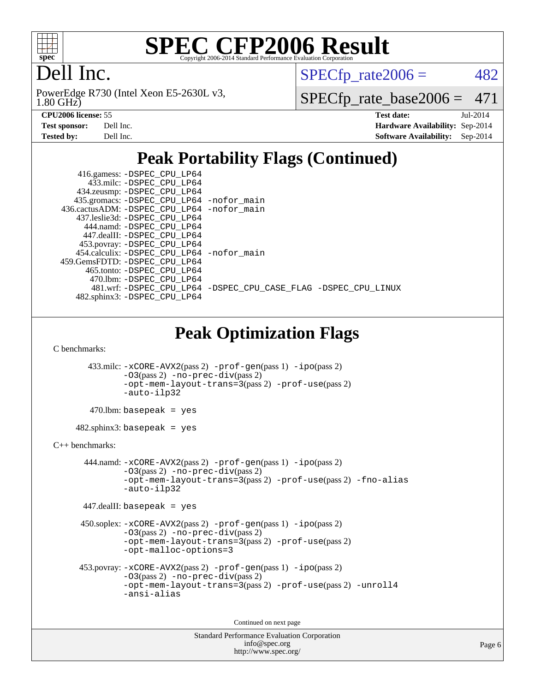

### Dell Inc.

1.80 GHz) PowerEdge R730 (Intel Xeon E5-2630L v3,  $SPECTp_rate2006 = 482$ 

[SPECfp\\_rate\\_base2006 =](http://www.spec.org/auto/cpu2006/Docs/result-fields.html#SPECfpratebase2006) 471

| <b>Test sponsor:</b> | Dell Inc. |
|----------------------|-----------|
| <b>Tested by:</b>    | Dell Inc. |

**[CPU2006 license:](http://www.spec.org/auto/cpu2006/Docs/result-fields.html#CPU2006license)** 55 **[Test date:](http://www.spec.org/auto/cpu2006/Docs/result-fields.html#Testdate)** Jul-2014 **[Hardware Availability:](http://www.spec.org/auto/cpu2006/Docs/result-fields.html#HardwareAvailability)** Sep-2014 **[Software Availability:](http://www.spec.org/auto/cpu2006/Docs/result-fields.html#SoftwareAvailability)** Sep-2014

### **[Peak Portability Flags \(Continued\)](http://www.spec.org/auto/cpu2006/Docs/result-fields.html#PeakPortabilityFlags)**

| 416.gamess: -DSPEC_CPU_LP64<br>433.milc: -DSPEC_CPU_LP64                    |  |  |  |  |  |  |
|-----------------------------------------------------------------------------|--|--|--|--|--|--|
| 434.zeusmp: -DSPEC_CPU_LP64                                                 |  |  |  |  |  |  |
| 435.gromacs: -DSPEC_CPU_LP64 -nofor_main                                    |  |  |  |  |  |  |
| 436.cactusADM: -DSPEC_CPU_LP64 -nofor_main<br>437.leslie3d: -DSPEC_CPU_LP64 |  |  |  |  |  |  |
| 444.namd: - DSPEC_CPU_LP64                                                  |  |  |  |  |  |  |
| 447.dealII: -DSPEC_CPU_LP64                                                 |  |  |  |  |  |  |
| 453.povray: -DSPEC_CPU_LP64                                                 |  |  |  |  |  |  |
| 454.calculix: -DSPEC_CPU_LP64 -nofor_main                                   |  |  |  |  |  |  |
| 459.GemsFDTD: -DSPEC_CPU_LP64                                               |  |  |  |  |  |  |
| 465.tonto: - DSPEC_CPU_LP64<br>470.1bm: - DSPEC CPU LP64                    |  |  |  |  |  |  |
| 481.wrf: -DSPEC_CPU_LP64 -DSPEC_CPU_CASE_FLAG -DSPEC_CPU_LINUX              |  |  |  |  |  |  |
| 482.sphinx3: -DSPEC_CPU_LP64                                                |  |  |  |  |  |  |
|                                                                             |  |  |  |  |  |  |
|                                                                             |  |  |  |  |  |  |
| <b>Peak Optimization Flags</b>                                              |  |  |  |  |  |  |
| C benchmarks:                                                               |  |  |  |  |  |  |
|                                                                             |  |  |  |  |  |  |
| 433.milc: -xCORE-AVX2(pass 2) -prof-gen(pass 1) -ipo(pass 2)                |  |  |  |  |  |  |
| $-03(pass 2)$ -no-prec-div(pass 2)                                          |  |  |  |  |  |  |
| -opt-mem-layout-trans=3(pass 2) -prof-use(pass 2)                           |  |  |  |  |  |  |
| -auto-ilp32                                                                 |  |  |  |  |  |  |
| $470$ .lbm: basepeak = yes                                                  |  |  |  |  |  |  |
| $482.\text{sphinx3: basepeak} = \text{yes}$                                 |  |  |  |  |  |  |
| $C_{++}$ benchmarks:                                                        |  |  |  |  |  |  |
| 444.namd: -xCORE-AVX2(pass 2) -prof-gen(pass 1) -ipo(pass 2)                |  |  |  |  |  |  |
| $-03$ (pass 2) $-$ no-prec-div(pass 2)                                      |  |  |  |  |  |  |
| -opt-mem-layout-trans=3(pass 2) -prof-use(pass 2) -fno-alias                |  |  |  |  |  |  |
| -auto-ilp32                                                                 |  |  |  |  |  |  |
| $447$ .dealII: basepeak = yes                                               |  |  |  |  |  |  |
| $450$ .soplex: $-x \text{CORE-AVX2}(pass 2)$ -prof-gen(pass 1) -ipo(pass 2) |  |  |  |  |  |  |
| $-03(pass 2)$ -no-prec-div(pass 2)                                          |  |  |  |  |  |  |
| -opt-mem-layout-trans=3(pass 2) -prof-use(pass 2)                           |  |  |  |  |  |  |
| -opt-malloc-options=3                                                       |  |  |  |  |  |  |
| 453.povray: -xCORE-AVX2(pass 2) -prof-gen(pass 1) -ipo(pass 2)              |  |  |  |  |  |  |
| $-03(pass 2)$ -no-prec-div(pass 2)                                          |  |  |  |  |  |  |
| -opt-mem-layout-trans=3(pass 2) -prof-use(pass 2) -unroll4                  |  |  |  |  |  |  |
| -ansi-alias                                                                 |  |  |  |  |  |  |
|                                                                             |  |  |  |  |  |  |
| Continued on next page                                                      |  |  |  |  |  |  |
|                                                                             |  |  |  |  |  |  |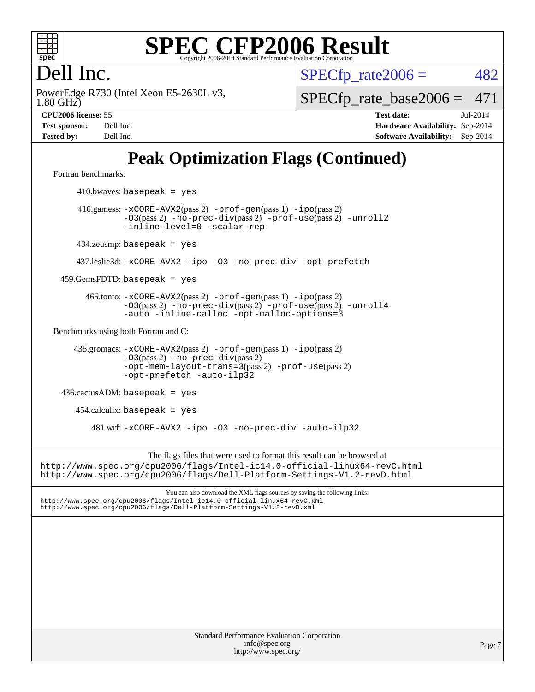

### Dell Inc.

1.80 GHz) PowerEdge R730 (Intel Xeon E5-2630L v3,  $SPECTp\_rate2006 = 482$ 

[SPECfp\\_rate\\_base2006 =](http://www.spec.org/auto/cpu2006/Docs/result-fields.html#SPECfpratebase2006) 471

**[CPU2006 license:](http://www.spec.org/auto/cpu2006/Docs/result-fields.html#CPU2006license)** 55 **[Test date:](http://www.spec.org/auto/cpu2006/Docs/result-fields.html#Testdate)** Jul-2014 **[Test sponsor:](http://www.spec.org/auto/cpu2006/Docs/result-fields.html#Testsponsor)** Dell Inc. **[Hardware Availability:](http://www.spec.org/auto/cpu2006/Docs/result-fields.html#HardwareAvailability)** Sep-2014 **[Tested by:](http://www.spec.org/auto/cpu2006/Docs/result-fields.html#Testedby)** Dell Inc. **[Software Availability:](http://www.spec.org/auto/cpu2006/Docs/result-fields.html#SoftwareAvailability)** Sep-2014

### **[Peak Optimization Flags \(Continued\)](http://www.spec.org/auto/cpu2006/Docs/result-fields.html#PeakOptimizationFlags)**

[Fortran benchmarks](http://www.spec.org/auto/cpu2006/Docs/result-fields.html#Fortranbenchmarks):

Standard Performance Evaluation Corporation [info@spec.org](mailto:info@spec.org) <http://www.spec.org/>  $410.bwaves: basepeak = yes$  416.gamess: [-xCORE-AVX2](http://www.spec.org/cpu2006/results/res2014q3/cpu2006-20140909-31280.flags.html#user_peakPASS2_FFLAGSPASS2_LDFLAGS416_gamess_f-xAVX2_5f5fc0cbe2c9f62c816d3e45806c70d7)(pass 2) [-prof-gen](http://www.spec.org/cpu2006/results/res2014q3/cpu2006-20140909-31280.flags.html#user_peakPASS1_FFLAGSPASS1_LDFLAGS416_gamess_prof_gen_e43856698f6ca7b7e442dfd80e94a8fc)(pass 1) [-ipo](http://www.spec.org/cpu2006/results/res2014q3/cpu2006-20140909-31280.flags.html#user_peakPASS2_FFLAGSPASS2_LDFLAGS416_gamess_f-ipo)(pass 2) [-O3](http://www.spec.org/cpu2006/results/res2014q3/cpu2006-20140909-31280.flags.html#user_peakPASS2_FFLAGSPASS2_LDFLAGS416_gamess_f-O3)(pass 2) [-no-prec-div](http://www.spec.org/cpu2006/results/res2014q3/cpu2006-20140909-31280.flags.html#user_peakPASS2_FFLAGSPASS2_LDFLAGS416_gamess_f-no-prec-div)(pass 2) [-prof-use](http://www.spec.org/cpu2006/results/res2014q3/cpu2006-20140909-31280.flags.html#user_peakPASS2_FFLAGSPASS2_LDFLAGS416_gamess_prof_use_bccf7792157ff70d64e32fe3e1250b55)(pass 2) [-unroll2](http://www.spec.org/cpu2006/results/res2014q3/cpu2006-20140909-31280.flags.html#user_peakOPTIMIZE416_gamess_f-unroll_784dae83bebfb236979b41d2422d7ec2) [-inline-level=0](http://www.spec.org/cpu2006/results/res2014q3/cpu2006-20140909-31280.flags.html#user_peakOPTIMIZE416_gamess_f-inline-level_318d07a09274ad25e8d15dbfaa68ba50) [-scalar-rep-](http://www.spec.org/cpu2006/results/res2014q3/cpu2006-20140909-31280.flags.html#user_peakOPTIMIZE416_gamess_f-disablescalarrep_abbcad04450fb118e4809c81d83c8a1d) 434.zeusmp: basepeak = yes 437.leslie3d: [-xCORE-AVX2](http://www.spec.org/cpu2006/results/res2014q3/cpu2006-20140909-31280.flags.html#user_peakOPTIMIZE437_leslie3d_f-xAVX2_5f5fc0cbe2c9f62c816d3e45806c70d7) [-ipo](http://www.spec.org/cpu2006/results/res2014q3/cpu2006-20140909-31280.flags.html#user_peakOPTIMIZE437_leslie3d_f-ipo) [-O3](http://www.spec.org/cpu2006/results/res2014q3/cpu2006-20140909-31280.flags.html#user_peakOPTIMIZE437_leslie3d_f-O3) [-no-prec-div](http://www.spec.org/cpu2006/results/res2014q3/cpu2006-20140909-31280.flags.html#user_peakOPTIMIZE437_leslie3d_f-no-prec-div) [-opt-prefetch](http://www.spec.org/cpu2006/results/res2014q3/cpu2006-20140909-31280.flags.html#user_peakOPTIMIZE437_leslie3d_f-opt-prefetch)  $459.GemsFDTD: basepeak = yes$  465.tonto: [-xCORE-AVX2](http://www.spec.org/cpu2006/results/res2014q3/cpu2006-20140909-31280.flags.html#user_peakPASS2_FFLAGSPASS2_LDFLAGS465_tonto_f-xAVX2_5f5fc0cbe2c9f62c816d3e45806c70d7)(pass 2) [-prof-gen](http://www.spec.org/cpu2006/results/res2014q3/cpu2006-20140909-31280.flags.html#user_peakPASS1_FFLAGSPASS1_LDFLAGS465_tonto_prof_gen_e43856698f6ca7b7e442dfd80e94a8fc)(pass 1) [-ipo](http://www.spec.org/cpu2006/results/res2014q3/cpu2006-20140909-31280.flags.html#user_peakPASS2_FFLAGSPASS2_LDFLAGS465_tonto_f-ipo)(pass 2) [-O3](http://www.spec.org/cpu2006/results/res2014q3/cpu2006-20140909-31280.flags.html#user_peakPASS2_FFLAGSPASS2_LDFLAGS465_tonto_f-O3)(pass 2) [-no-prec-div](http://www.spec.org/cpu2006/results/res2014q3/cpu2006-20140909-31280.flags.html#user_peakPASS2_FFLAGSPASS2_LDFLAGS465_tonto_f-no-prec-div)(pass 2) [-prof-use](http://www.spec.org/cpu2006/results/res2014q3/cpu2006-20140909-31280.flags.html#user_peakPASS2_FFLAGSPASS2_LDFLAGS465_tonto_prof_use_bccf7792157ff70d64e32fe3e1250b55)(pass 2) [-unroll4](http://www.spec.org/cpu2006/results/res2014q3/cpu2006-20140909-31280.flags.html#user_peakOPTIMIZE465_tonto_f-unroll_4e5e4ed65b7fd20bdcd365bec371b81f) [-auto](http://www.spec.org/cpu2006/results/res2014q3/cpu2006-20140909-31280.flags.html#user_peakOPTIMIZE465_tonto_f-auto) [-inline-calloc](http://www.spec.org/cpu2006/results/res2014q3/cpu2006-20140909-31280.flags.html#user_peakOPTIMIZE465_tonto_f-inline-calloc) [-opt-malloc-options=3](http://www.spec.org/cpu2006/results/res2014q3/cpu2006-20140909-31280.flags.html#user_peakOPTIMIZE465_tonto_f-opt-malloc-options_13ab9b803cf986b4ee62f0a5998c2238) [Benchmarks using both Fortran and C](http://www.spec.org/auto/cpu2006/Docs/result-fields.html#BenchmarksusingbothFortranandC): 435.gromacs: [-xCORE-AVX2](http://www.spec.org/cpu2006/results/res2014q3/cpu2006-20140909-31280.flags.html#user_peakPASS2_CFLAGSPASS2_FFLAGSPASS2_LDFLAGS435_gromacs_f-xAVX2_5f5fc0cbe2c9f62c816d3e45806c70d7)(pass 2) [-prof-gen](http://www.spec.org/cpu2006/results/res2014q3/cpu2006-20140909-31280.flags.html#user_peakPASS1_CFLAGSPASS1_FFLAGSPASS1_LDFLAGS435_gromacs_prof_gen_e43856698f6ca7b7e442dfd80e94a8fc)(pass 1) [-ipo](http://www.spec.org/cpu2006/results/res2014q3/cpu2006-20140909-31280.flags.html#user_peakPASS2_CFLAGSPASS2_FFLAGSPASS2_LDFLAGS435_gromacs_f-ipo)(pass 2) [-O3](http://www.spec.org/cpu2006/results/res2014q3/cpu2006-20140909-31280.flags.html#user_peakPASS2_CFLAGSPASS2_FFLAGSPASS2_LDFLAGS435_gromacs_f-O3)(pass 2) [-no-prec-div](http://www.spec.org/cpu2006/results/res2014q3/cpu2006-20140909-31280.flags.html#user_peakPASS2_CFLAGSPASS2_FFLAGSPASS2_LDFLAGS435_gromacs_f-no-prec-div)(pass 2) [-opt-mem-layout-trans=3](http://www.spec.org/cpu2006/results/res2014q3/cpu2006-20140909-31280.flags.html#user_peakPASS2_CFLAGS435_gromacs_f-opt-mem-layout-trans_a7b82ad4bd7abf52556d4961a2ae94d5)(pass 2) [-prof-use](http://www.spec.org/cpu2006/results/res2014q3/cpu2006-20140909-31280.flags.html#user_peakPASS2_CFLAGSPASS2_FFLAGSPASS2_LDFLAGS435_gromacs_prof_use_bccf7792157ff70d64e32fe3e1250b55)(pass 2) [-opt-prefetch](http://www.spec.org/cpu2006/results/res2014q3/cpu2006-20140909-31280.flags.html#user_peakOPTIMIZE435_gromacs_f-opt-prefetch) [-auto-ilp32](http://www.spec.org/cpu2006/results/res2014q3/cpu2006-20140909-31280.flags.html#user_peakCOPTIMIZE435_gromacs_f-auto-ilp32) 436.cactusADM: basepeak = yes  $454$ .calculix: basepeak = yes 481.wrf: [-xCORE-AVX2](http://www.spec.org/cpu2006/results/res2014q3/cpu2006-20140909-31280.flags.html#user_peakOPTIMIZE481_wrf_f-xAVX2_5f5fc0cbe2c9f62c816d3e45806c70d7) [-ipo](http://www.spec.org/cpu2006/results/res2014q3/cpu2006-20140909-31280.flags.html#user_peakOPTIMIZE481_wrf_f-ipo) [-O3](http://www.spec.org/cpu2006/results/res2014q3/cpu2006-20140909-31280.flags.html#user_peakOPTIMIZE481_wrf_f-O3) [-no-prec-div](http://www.spec.org/cpu2006/results/res2014q3/cpu2006-20140909-31280.flags.html#user_peakOPTIMIZE481_wrf_f-no-prec-div) [-auto-ilp32](http://www.spec.org/cpu2006/results/res2014q3/cpu2006-20140909-31280.flags.html#user_peakCOPTIMIZE481_wrf_f-auto-ilp32) The flags files that were used to format this result can be browsed at <http://www.spec.org/cpu2006/flags/Intel-ic14.0-official-linux64-revC.html> <http://www.spec.org/cpu2006/flags/Dell-Platform-Settings-V1.2-revD.html> You can also download the XML flags sources by saving the following links: <http://www.spec.org/cpu2006/flags/Intel-ic14.0-official-linux64-revC.xml> <http://www.spec.org/cpu2006/flags/Dell-Platform-Settings-V1.2-revD.xml>

Page 7